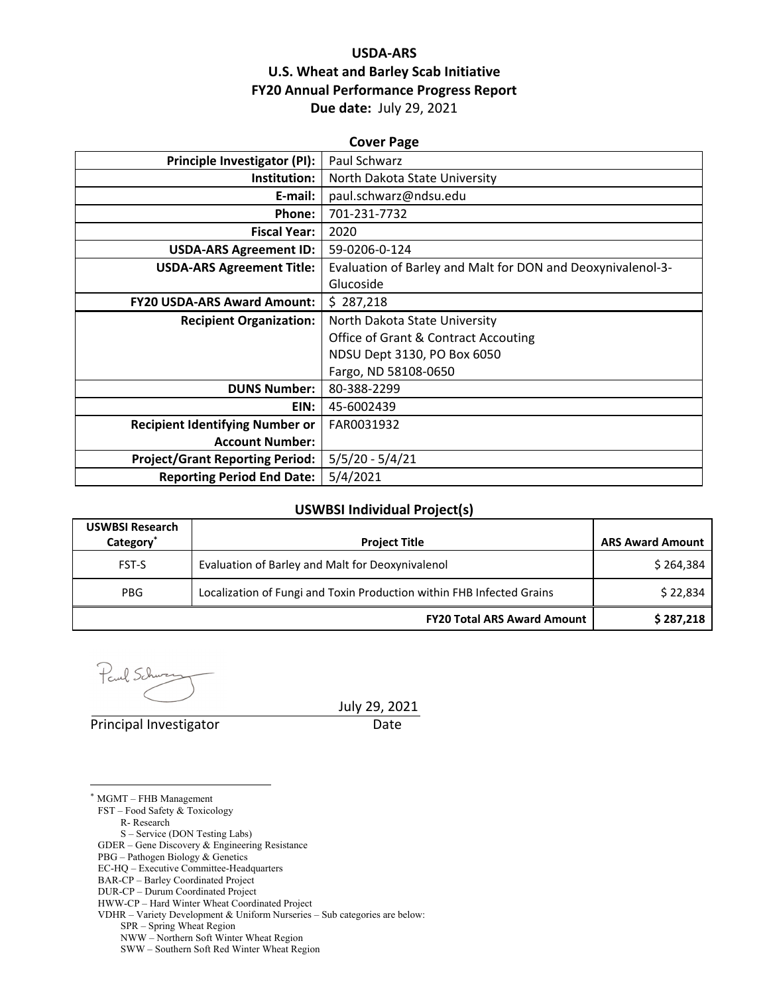## **USDA‐ARS U.S. Wheat and Barley Scab Initiative FY20 Annual Performance Progress Report Due date:** July 29, 2021

| <b>Cover Page</b>                      |                                                             |  |  |  |
|----------------------------------------|-------------------------------------------------------------|--|--|--|
| <b>Principle Investigator (PI):</b>    | Paul Schwarz                                                |  |  |  |
| Institution:                           | North Dakota State University                               |  |  |  |
| E-mail:                                | paul.schwarz@ndsu.edu                                       |  |  |  |
| Phone:                                 | 701-231-7732                                                |  |  |  |
| <b>Fiscal Year:</b>                    | 2020                                                        |  |  |  |
| <b>USDA-ARS Agreement ID:</b>          | 59-0206-0-124                                               |  |  |  |
| <b>USDA-ARS Agreement Title:</b>       | Evaluation of Barley and Malt for DON and Deoxynivalenol-3- |  |  |  |
|                                        | Glucoside                                                   |  |  |  |
| <b>FY20 USDA-ARS Award Amount:</b>     | \$287,218                                                   |  |  |  |
| <b>Recipient Organization:</b>         | North Dakota State University                               |  |  |  |
|                                        | <b>Office of Grant &amp; Contract Accouting</b>             |  |  |  |
|                                        | NDSU Dept 3130, PO Box 6050                                 |  |  |  |
|                                        | Fargo, ND 58108-0650                                        |  |  |  |
| <b>DUNS Number:</b>                    | 80-388-2299                                                 |  |  |  |
| EIN:                                   | 45-6002439                                                  |  |  |  |
| <b>Recipient Identifying Number or</b> | FAR0031932                                                  |  |  |  |
| <b>Account Number:</b>                 |                                                             |  |  |  |
| <b>Project/Grant Reporting Period:</b> | $5/5/20 - 5/4/21$                                           |  |  |  |
| <b>Reporting Period End Date:</b>      | 5/4/2021                                                    |  |  |  |

## **USWBSI Individual Project(s)**

| <b>USWBSI Research</b><br>Category <sup>*</sup> | <b>Project Title</b>                                                  | <b>ARS Award Amount</b> |
|-------------------------------------------------|-----------------------------------------------------------------------|-------------------------|
| FST-S                                           | Evaluation of Barley and Malt for Deoxynivalenol                      | \$264,384               |
| <b>PBG</b>                                      | Localization of Fungi and Toxin Production within FHB Infected Grains | \$22,834                |
|                                                 | <b>FY20 Total ARS Award Amount</b>                                    | \$287,218               |

Paul Schn

Principal Investigator **Date** 

July 29, 2021

\* MGMT – FHB Management FST – Food Safety & Toxicology R- Research

 $\overline{a}$ 

S – Service (DON Testing Labs)

GDER – Gene Discovery & Engineering Resistance

- PBG Pathogen Biology & Genetics
- EC-HQ Executive Committee-Headquarters
- BAR-CP Barley Coordinated Project
- DUR-CP Durum Coordinated Project

- VDHR Variety Development & Uniform Nurseries Sub categories are below:
	- SPR Spring Wheat Region
	- NWW Northern Soft Winter Wheat Region
	- SWW Southern Soft Red Winter Wheat Region

HWW-CP – Hard Winter Wheat Coordinated Project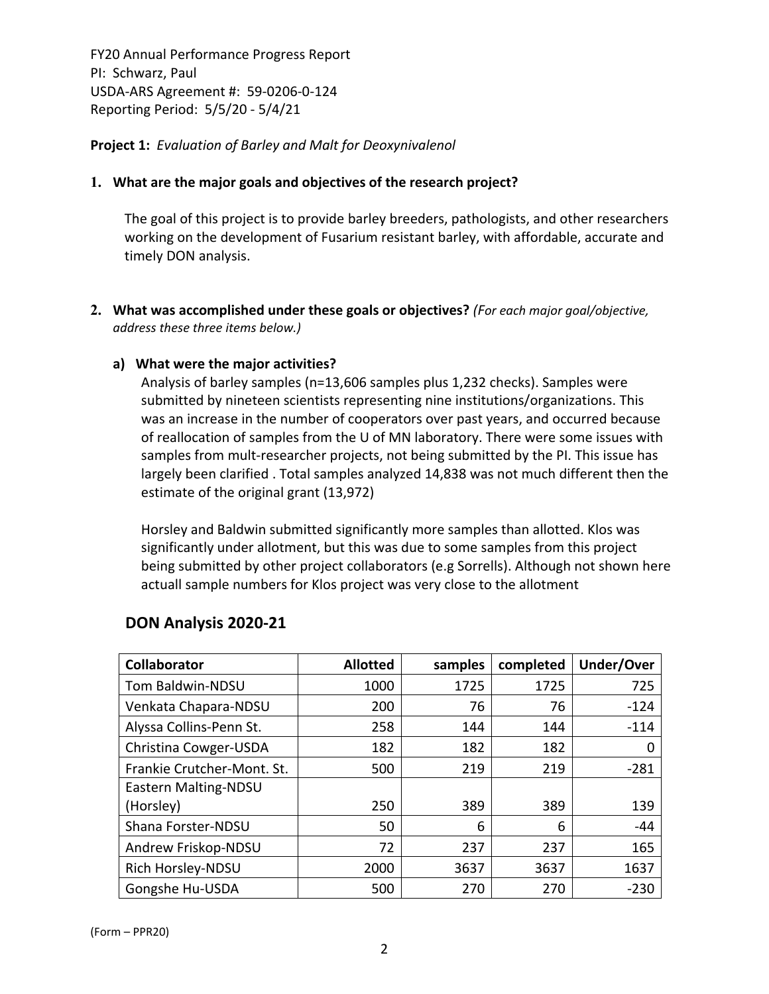**Project 1:** *Evaluation of Barley and Malt for Deoxynivalenol*

### **1. What are the major goals and objectives of the research project?**

The goal of this project is to provide barley breeders, pathologists, and other researchers working on the development of Fusarium resistant barley, with affordable, accurate and timely DON analysis.

**2. What was accomplished under these goals or objectives?** *(For each major goal/objective, address these three items below.)*

### **a) What were the major activities?**

Analysis of barley samples (n=13,606 samples plus 1,232 checks). Samples were submitted by nineteen scientists representing nine institutions/organizations. This was an increase in the number of cooperators over past years, and occurred because of reallocation of samples from the U of MN laboratory. There were some issues with samples from mult-researcher projects, not being submitted by the PI. This issue has largely been clarified . Total samples analyzed 14,838 was not much different then the estimate of the original grant (13,972)

Horsley and Baldwin submitted significantly more samples than allotted. Klos was significantly under allotment, but this was due to some samples from this project being submitted by other project collaborators (e.g Sorrells). Although not shown here actuall sample numbers for Klos project was very close to the allotment

| Collaborator               | <b>Allotted</b> | samples | completed | Under/Over |
|----------------------------|-----------------|---------|-----------|------------|
| Tom Baldwin-NDSU           | 1000            | 1725    | 1725      | 725        |
| Venkata Chapara-NDSU       | 200             | 76      | 76        | $-124$     |
| Alyssa Collins-Penn St.    | 258             | 144     | 144       | $-114$     |
| Christina Cowger-USDA      | 182             | 182     | 182       | 0          |
| Frankie Crutcher-Mont. St. | 500             | 219     | 219       | $-281$     |
| Eastern Malting-NDSU       |                 |         |           |            |
| (Horsley)                  | 250             | 389     | 389       | 139        |
| Shana Forster-NDSU         | 50              | 6       | 6         | $-44$      |
| Andrew Friskop-NDSU        | 72              | 237     | 237       | 165        |
| Rich Horsley-NDSU          | 2000            | 3637    | 3637      | 1637       |
| Gongshe Hu-USDA            | 500             | 270     | 270       | $-230$     |

## **DON Analysis 2020‐21**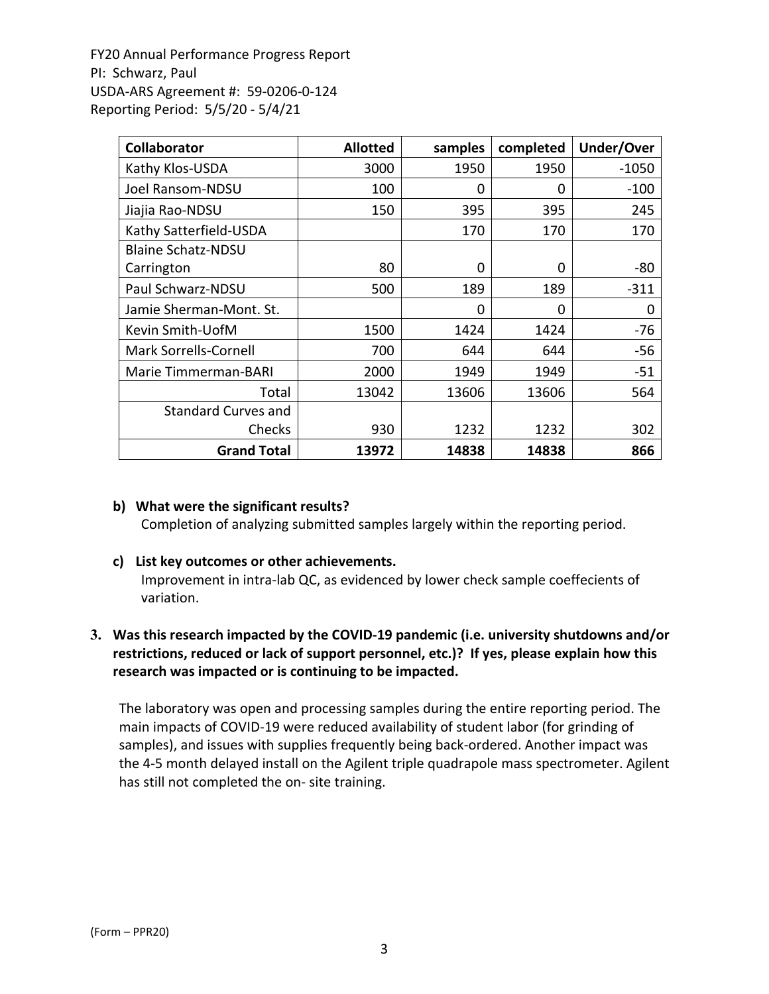| <b>Collaborator</b>        | <b>Allotted</b> | samples  | completed | Under/Over |
|----------------------------|-----------------|----------|-----------|------------|
| Kathy Klos-USDA            | 3000            | 1950     | 1950      | $-1050$    |
| Joel Ransom-NDSU           | 100             | $\Omega$ | 0         | $-100$     |
| Jiajia Rao-NDSU            | 150             | 395      | 395       | 245        |
| Kathy Satterfield-USDA     |                 | 170      | 170       | 170        |
| <b>Blaine Schatz-NDSU</b>  |                 |          |           |            |
| Carrington                 | 80              | 0        | $\Omega$  | $-80$      |
| Paul Schwarz-NDSU          | 500             | 189      | 189       | $-311$     |
| Jamie Sherman-Mont. St.    |                 | 0        | $\Omega$  | 0          |
| Kevin Smith-UofM           | 1500            | 1424     | 1424      | $-76$      |
| Mark Sorrells-Cornell      | 700             | 644      | 644       | $-56$      |
| Marie Timmerman-BARI       | 2000            | 1949     | 1949      | $-51$      |
| Total                      | 13042           | 13606    | 13606     | 564        |
| <b>Standard Curves and</b> |                 |          |           |            |
| Checks                     | 930             | 1232     | 1232      | 302        |
| <b>Grand Total</b>         | 13972           | 14838    | 14838     | 866        |

#### **b) What were the significant results?**

Completion of analyzing submitted samples largely within the reporting period.

#### **c) List key outcomes or other achievements.**

Improvement in intra‐lab QC, as evidenced by lower check sample coeffecients of variation.

## **3. Was this research impacted by the COVID‐19 pandemic (i.e. university shutdowns and/or restrictions, reduced or lack of support personnel, etc.)? If yes, please explain how this research was impacted or is continuing to be impacted.**

The laboratory was open and processing samples during the entire reporting period. The main impacts of COVID‐19 were reduced availability of student labor (for grinding of samples), and issues with supplies frequently being back-ordered. Another impact was the 4‐5 month delayed install on the Agilent triple quadrapole mass spectrometer. Agilent has still not completed the on‐ site training.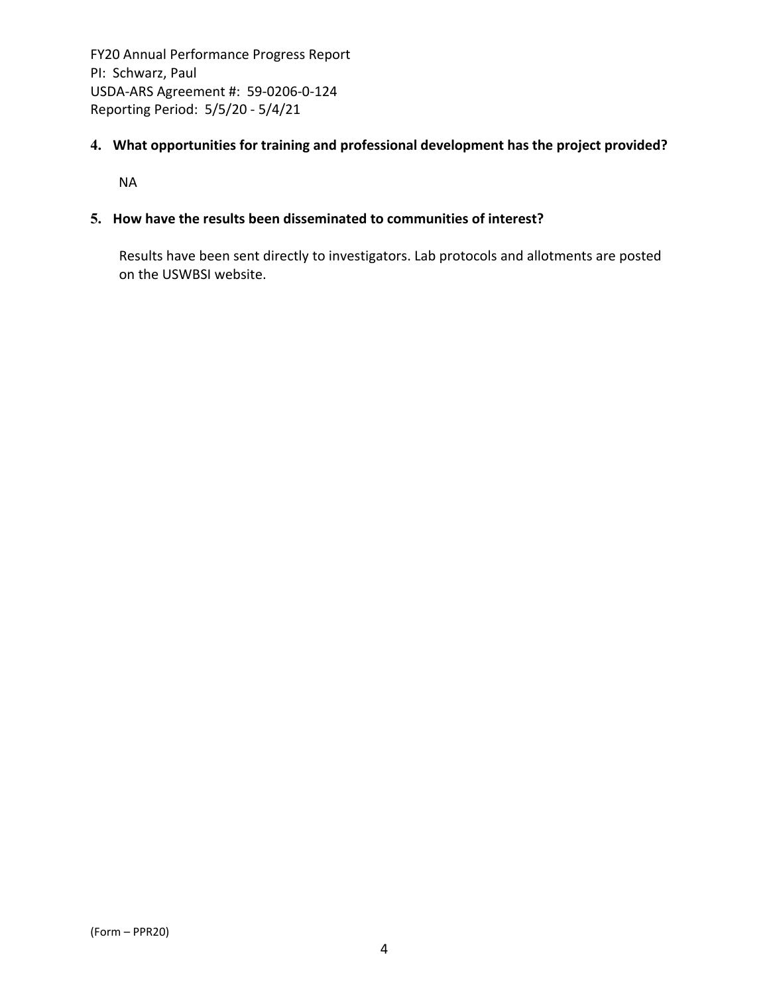## **4. What opportunities for training and professional development has the project provided?**

NA

## **5. How have the results been disseminated to communities of interest?**

Results have been sent directly to investigators. Lab protocols and allotments are posted on the USWBSI website.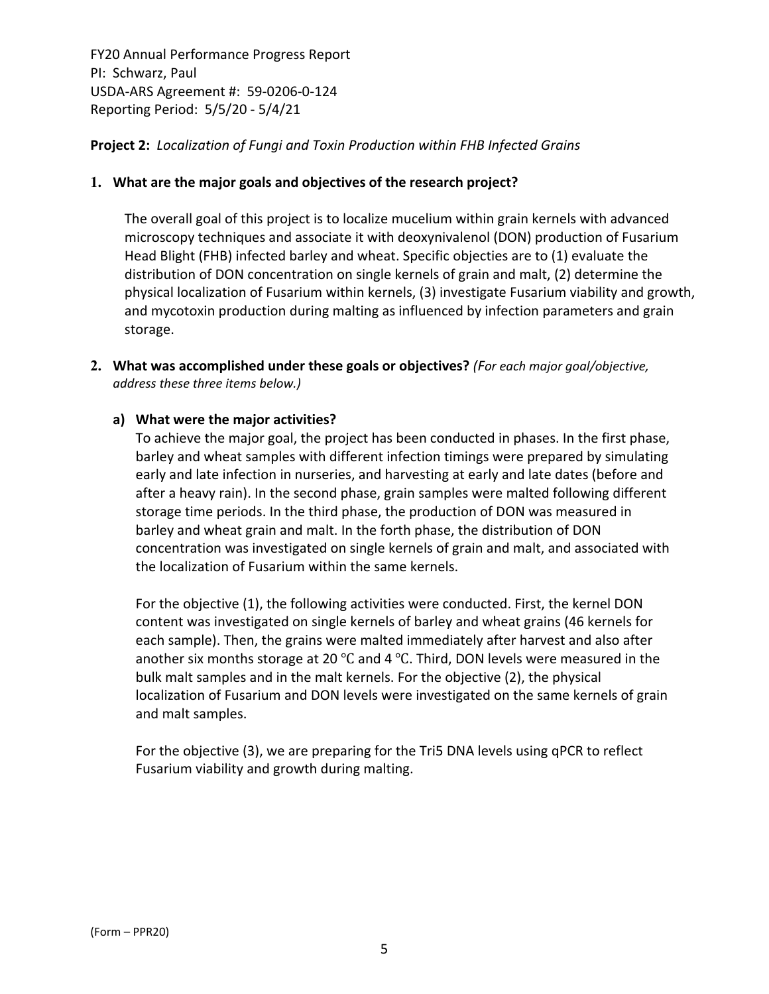## **Project 2:** *Localization of Fungi and Toxin Production within FHB Infected Grains*

#### **1. What are the major goals and objectives of the research project?**

The overall goal of this project is to localize mucelium within grain kernels with advanced microscopy techniques and associate it with deoxynivalenol (DON) production of Fusarium Head Blight (FHB) infected barley and wheat. Specific objecties are to (1) evaluate the distribution of DON concentration on single kernels of grain and malt, (2) determine the physical localization of Fusarium within kernels, (3) investigate Fusarium viability and growth, and mycotoxin production during malting as influenced by infection parameters and grain storage.

**2. What was accomplished under these goals or objectives?** *(For each major goal/objective, address these three items below.)*

### **a) What were the major activities?**

To achieve the major goal, the project has been conducted in phases. In the first phase, barley and wheat samples with different infection timings were prepared by simulating early and late infection in nurseries, and harvesting at early and late dates (before and after a heavy rain). In the second phase, grain samples were malted following different storage time periods. In the third phase, the production of DON was measured in barley and wheat grain and malt. In the forth phase, the distribution of DON concentration was investigated on single kernels of grain and malt, and associated with the localization of Fusarium within the same kernels.

For the objective (1), the following activities were conducted. First, the kernel DON content was investigated on single kernels of barley and wheat grains (46 kernels for each sample). Then, the grains were malted immediately after harvest and also after another six months storage at 20 ℃ and 4 ℃. Third, DON levels were measured in the bulk malt samples and in the malt kernels. For the objective (2), the physical localization of Fusarium and DON levels were investigated on the same kernels of grain and malt samples.

For the objective (3), we are preparing for the Tri5 DNA levels using qPCR to reflect Fusarium viability and growth during malting.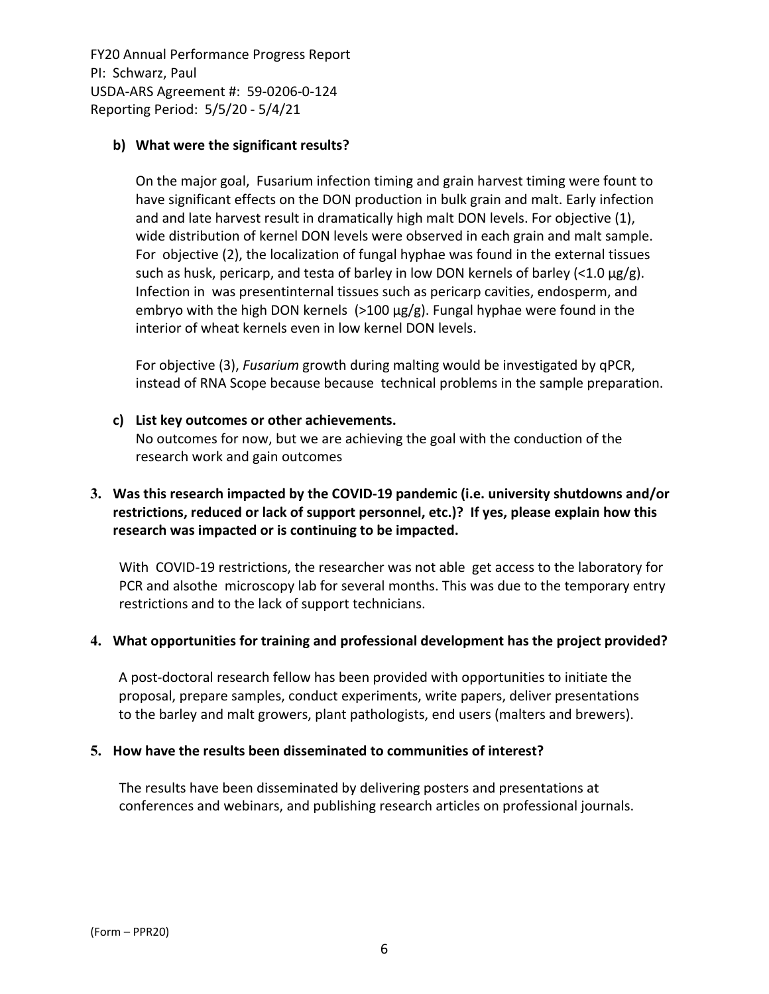## **b) What were the significant results?**

On the major goal, Fusarium infection timing and grain harvest timing were fount to have significant effects on the DON production in bulk grain and malt. Early infection and and late harvest result in dramatically high malt DON levels. For objective (1), wide distribution of kernel DON levels were observed in each grain and malt sample. For objective (2), the localization of fungal hyphae was found in the external tissues such as husk, pericarp, and testa of barley in low DON kernels of barley (<1.0  $\mu$ g/g). Infection in was presentinternal tissues such as pericarp cavities, endosperm, and embryo with the high DON kernels  $(>100 \mu g/g)$ . Fungal hyphae were found in the interior of wheat kernels even in low kernel DON levels.

For objective (3), *Fusarium* growth during malting would be investigated by qPCR, instead of RNA Scope because because technical problems in the sample preparation.

### **c) List key outcomes or other achievements.**

No outcomes for now, but we are achieving the goal with the conduction of the research work and gain outcomes

## **3. Was this research impacted by the COVID‐19 pandemic (i.e. university shutdowns and/or restrictions, reduced or lack of support personnel, etc.)? If yes, please explain how this research was impacted or is continuing to be impacted.**

With COVID-19 restrictions, the researcher was not able get access to the laboratory for PCR and alsothe microscopy lab for several months. This was due to the temporary entry restrictions and to the lack of support technicians.

## **4. What opportunities for training and professional development has the project provided?**

A post‐doctoral research fellow has been provided with opportunities to initiate the proposal, prepare samples, conduct experiments, write papers, deliver presentations to the barley and malt growers, plant pathologists, end users (malters and brewers).

#### **5. How have the results been disseminated to communities of interest?**

The results have been disseminated by delivering posters and presentations at conferences and webinars, and publishing research articles on professional journals.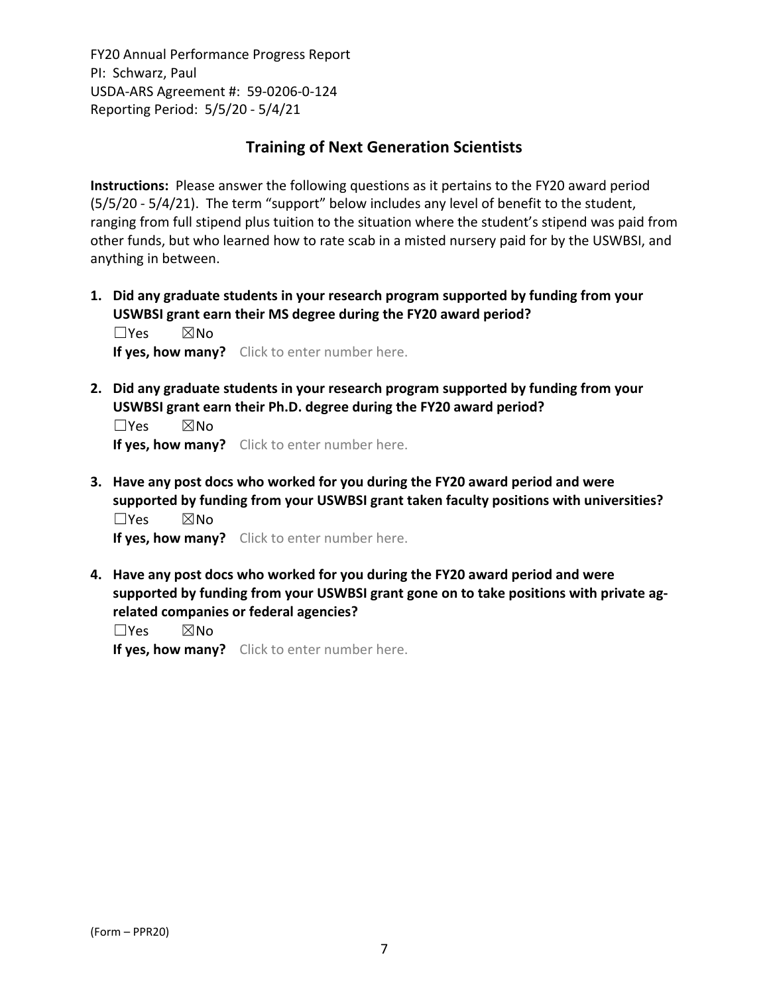## **Training of Next Generation Scientists**

**Instructions:** Please answer the following questions as it pertains to the FY20 award period (5/5/20 ‐ 5/4/21). The term "support" below includes any level of benefit to the student, ranging from full stipend plus tuition to the situation where the student's stipend was paid from other funds, but who learned how to rate scab in a misted nursery paid for by the USWBSI, and anything in between.

**1. Did any graduate students in your research program supported by funding from your USWBSI grant earn their MS degree during the FY20 award period?** ☐Yes ☒No

**If yes, how many?** Click to enter number here.

**2. Did any graduate students in your research program supported by funding from your USWBSI grant earn their Ph.D. degree during the FY20 award period?**

☐Yes ☒No **If yes, how many?** Click to enter number here.

**3. Have any post docs who worked for you during the FY20 award period and were supported by funding from your USWBSI grant taken faculty positions with universities?** ☐Yes ☒No

**If yes, how many?** Click to enter number here.

**4. Have any post docs who worked for you during the FY20 award period and were supported by funding from your USWBSI grant gone on to take positions with private ag‐ related companies or federal agencies?**

☐Yes ☒No

**If yes, how many?** Click to enter number here.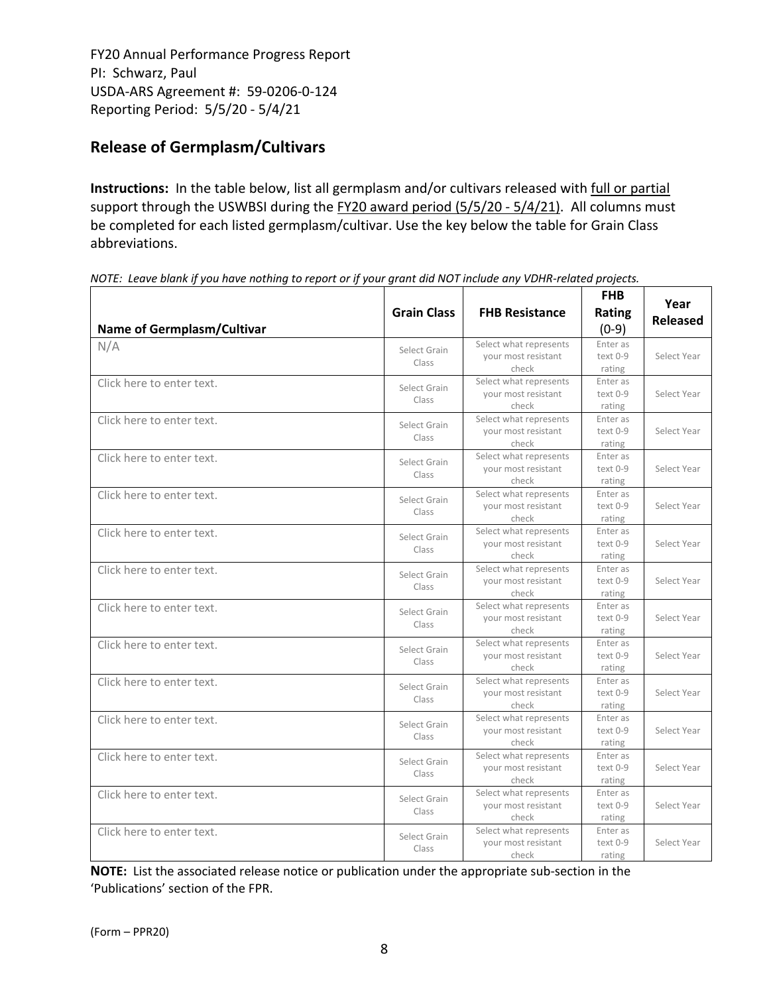# **Release of Germplasm/Cultivars**

**Instructions:** In the table below, list all germplasm and/or cultivars released with full or partial support through the USWBSI during the FY20 award period (5/5/20 - 5/4/21). All columns must be completed for each listed germplasm/cultivar. Use the key below the table for Grain Class abbreviations. 

| <b>Name of Germplasm/Cultivar</b> | <b>Grain Class</b>    | <b>FHB Resistance</b>                                  | <b>FHB</b><br><b>Rating</b><br>$(0-9)$ | Year<br><b>Released</b> |
|-----------------------------------|-----------------------|--------------------------------------------------------|----------------------------------------|-------------------------|
| N/A                               | Select Grain<br>Class | Select what represents<br>your most resistant<br>check |                                        | Select Year             |
| Click here to enter text.         | Select Grain<br>Class | Select what represents<br>your most resistant<br>check | Enter as<br>$text 0-9$<br>rating       | Select Year             |
| Click here to enter text.         | Select Grain<br>Class | Select what represents<br>your most resistant<br>check | Enter as<br>text 0-9<br>rating         | Select Year             |
| Click here to enter text.         | Select Grain<br>Class | Select what represents<br>your most resistant<br>check | Enter as<br>text 0-9<br>rating         | Select Year             |
| Click here to enter text.         | Select Grain<br>Class | Select what represents<br>your most resistant<br>check | Enter as<br>text 0-9<br>rating         | Select Year             |
| Click here to enter text.         | Select Grain<br>Class | Select what represents<br>your most resistant<br>check | Enter as<br>text 0-9<br>rating         | Select Year             |
| Click here to enter text.         | Select Grain<br>Class | Select what represents<br>your most resistant<br>check | Enter as<br>text 0-9<br>rating         | Select Year             |
| Click here to enter text.         | Select Grain<br>Class | Select what represents<br>your most resistant<br>check | Enter as<br>text 0-9<br>rating         | Select Year             |
| Click here to enter text.         | Select Grain<br>Class | Select what represents<br>your most resistant<br>check | Enter as<br>text 0-9<br>rating         | Select Year             |
| Click here to enter text.         | Select Grain<br>Class | Select what represents<br>your most resistant<br>check | Enter as<br>text 0-9<br>rating         | Select Year             |
| Click here to enter text.         | Select Grain<br>Class | Select what represents<br>your most resistant<br>check | Enter as<br>text 0-9<br>rating         | Select Year             |
| Click here to enter text.         | Select Grain<br>Class | Select what represents<br>your most resistant<br>check | Enter as<br>text 0-9<br>rating         | Select Year             |
| Click here to enter text.         | Select Grain<br>Class | Select what represents<br>your most resistant<br>check | Enter as<br>text 0-9<br>rating         | Select Year             |
| Click here to enter text.         | Select Grain<br>Class | Select what represents<br>your most resistant<br>check | Enter as<br>text 0-9<br>rating         | Select Year             |

NOTE: Leave blank if you have nothing to report or if your grant did NOT include any VDHR-related projects.

**NOTE:** List the associated release notice or publication under the appropriate sub-section in the 'Publications' section of the FPR.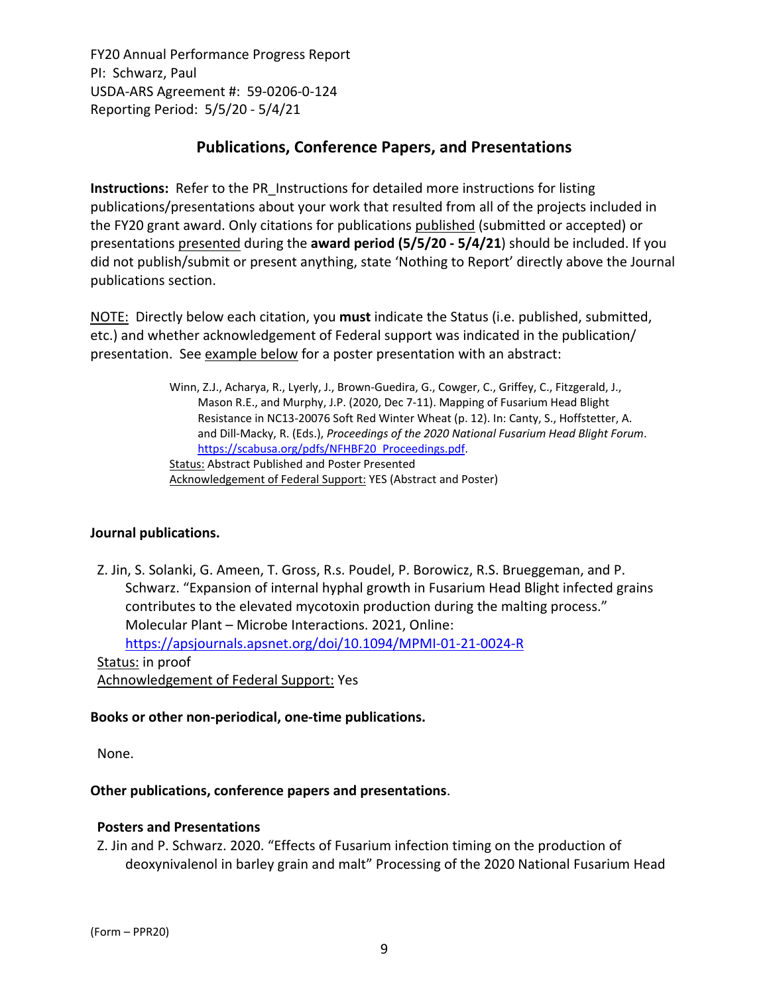## **Publications, Conference Papers, and Presentations**

**Instructions:** Refer to the PR\_Instructions for detailed more instructions for listing publications/presentations about your work that resulted from all of the projects included in the FY20 grant award. Only citations for publications published (submitted or accepted) or presentations presented during the **award period (5/5/20 ‐ 5/4/21**) should be included. If you did not publish/submit or present anything, state 'Nothing to Report' directly above the Journal publications section.

NOTE: Directly below each citation, you **must** indicate the Status (i.e. published, submitted, etc.) and whether acknowledgement of Federal support was indicated in the publication/ presentation. See example below for a poster presentation with an abstract:

> Winn, Z.J., Acharya, R., Lyerly, J., Brown‐Guedira, G., Cowger, C., Griffey, C., Fitzgerald, J., Mason R.E., and Murphy, J.P. (2020, Dec 7‐11). Mapping of Fusarium Head Blight Resistance in NC13‐20076 Soft Red Winter Wheat (p. 12). In: Canty, S., Hoffstetter, A. and Dill‐Macky, R. (Eds.), *Proceedings of the 2020 National Fusarium Head Blight Forum*. https://scabusa.org/pdfs/NFHBF20\_Proceedings.pdf. Status: Abstract Published and Poster Presented Acknowledgement of Federal Support: YES (Abstract and Poster)

#### **Journal publications.**

Z. Jin, S. Solanki, G. Ameen, T. Gross, R.s. Poudel, P. Borowicz, R.S. Brueggeman, and P. Schwarz. "Expansion of internal hyphal growth in Fusarium Head Blight infected grains contributes to the elevated mycotoxin production during the malting process." Molecular Plant – Microbe Interactions. 2021, Online:

https://apsjournals.apsnet.org/doi/10.1094/MPMI‐01‐21‐0024‐R

Status: in proof

Achnowledgement of Federal Support: Yes

#### **Books or other non‐periodical, one‐time publications.**

None.

#### **Other publications, conference papers and presentations**.

#### **Posters and Presentations**

Z. Jin and P. Schwarz. 2020. "Effects of Fusarium infection timing on the production of deoxynivalenol in barley grain and malt" Processing of the 2020 National Fusarium Head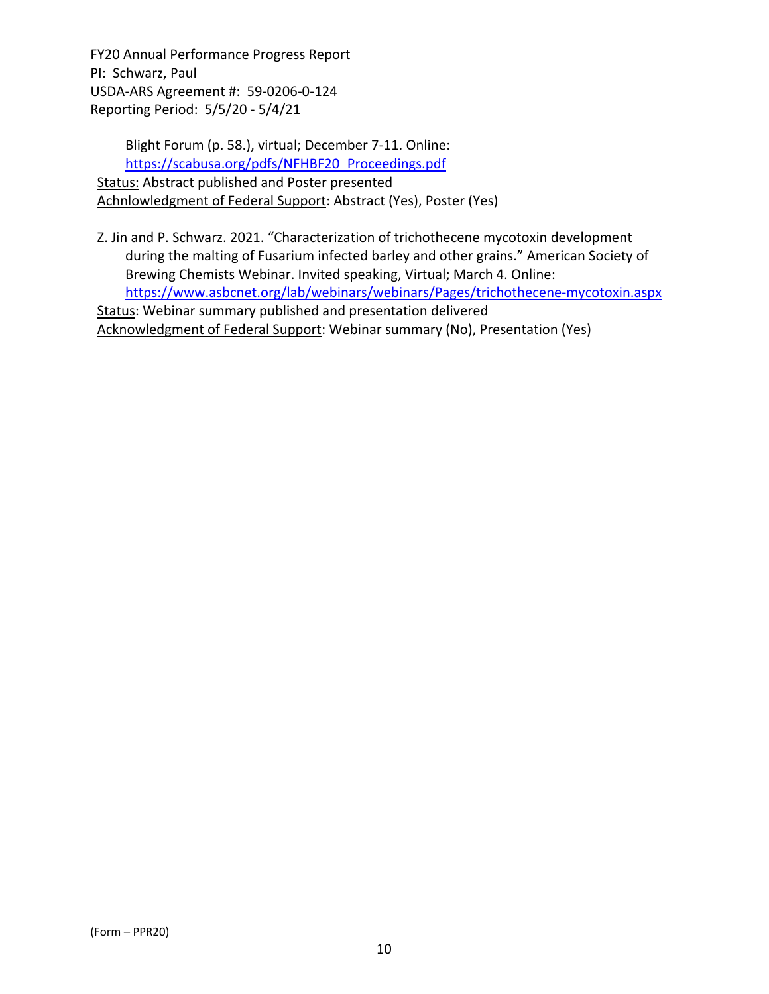Blight Forum (p. 58.), virtual; December 7‐11. Online: https://scabusa.org/pdfs/NFHBF20\_Proceedings.pdf Status: Abstract published and Poster presented Achnlowledgment of Federal Support: Abstract (Yes), Poster (Yes)

Z. Jin and P. Schwarz. 2021. "Characterization of trichothecene mycotoxin development during the malting of Fusarium infected barley and other grains." American Society of Brewing Chemists Webinar. Invited speaking, Virtual; March 4. Online: https://www.asbcnet.org/lab/webinars/webinars/Pages/trichothecene‐mycotoxin.aspx Status: Webinar summary published and presentation delivered

Acknowledgment of Federal Support: Webinar summary (No), Presentation (Yes)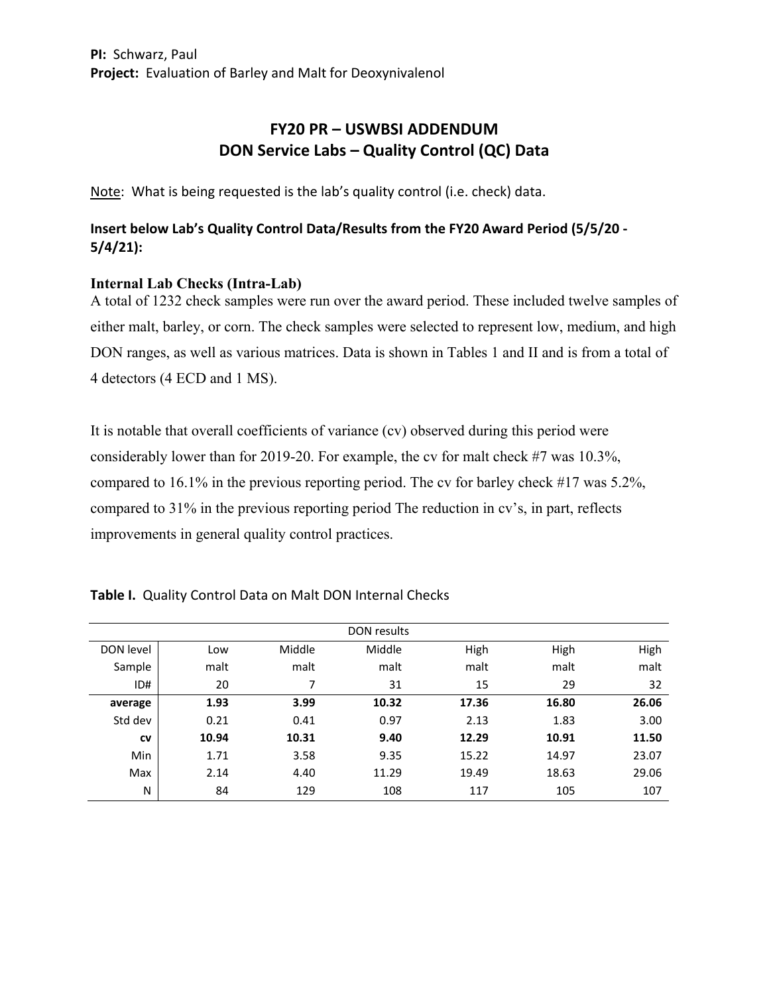# **FY20 PR – USWBSI ADDENDUM DON Service Labs – Quality Control (QC) Data**

Note: What is being requested is the lab's quality control (i.e. check) data.

## **Insert below Lab's Quality Control Data/Results from the FY20 Award Period (5/5/20 ‐ 5/4/21):**

## **Internal Lab Checks (Intra-Lab)**

A total of 1232 check samples were run over the award period. These included twelve samples of either malt, barley, or corn. The check samples were selected to represent low, medium, and high DON ranges, as well as various matrices. Data is shown in Tables 1 and II and is from a total of 4 detectors (4 ECD and 1 MS).

It is notable that overall coefficients of variance (cv) observed during this period were considerably lower than for 2019-20. For example, the cv for malt check #7 was 10.3%, compared to 16.1% in the previous reporting period. The cv for barley check #17 was 5.2%, compared to 31% in the previous reporting period The reduction in cv's, in part, reflects improvements in general quality control practices.

#### **Table I.** Quality Control Data on Malt DON Internal Checks

|           |       |        | DON results |       |       |       |
|-----------|-------|--------|-------------|-------|-------|-------|
| DON level | Low   | Middle | Middle      | High  | High  | High  |
| Sample    | malt  | malt   | malt        | malt  | malt  | malt  |
| ID#       | 20    | 7      | 31          | 15    | 29    | 32    |
| average   | 1.93  | 3.99   | 10.32       | 17.36 | 16.80 | 26.06 |
| Std dev   | 0.21  | 0.41   | 0.97        | 2.13  | 1.83  | 3.00  |
| <b>CV</b> | 10.94 | 10.31  | 9.40        | 12.29 | 10.91 | 11.50 |
| Min       | 1.71  | 3.58   | 9.35        | 15.22 | 14.97 | 23.07 |
| Max       | 2.14  | 4.40   | 11.29       | 19.49 | 18.63 | 29.06 |
| Ν         | 84    | 129    | 108         | 117   | 105   | 107   |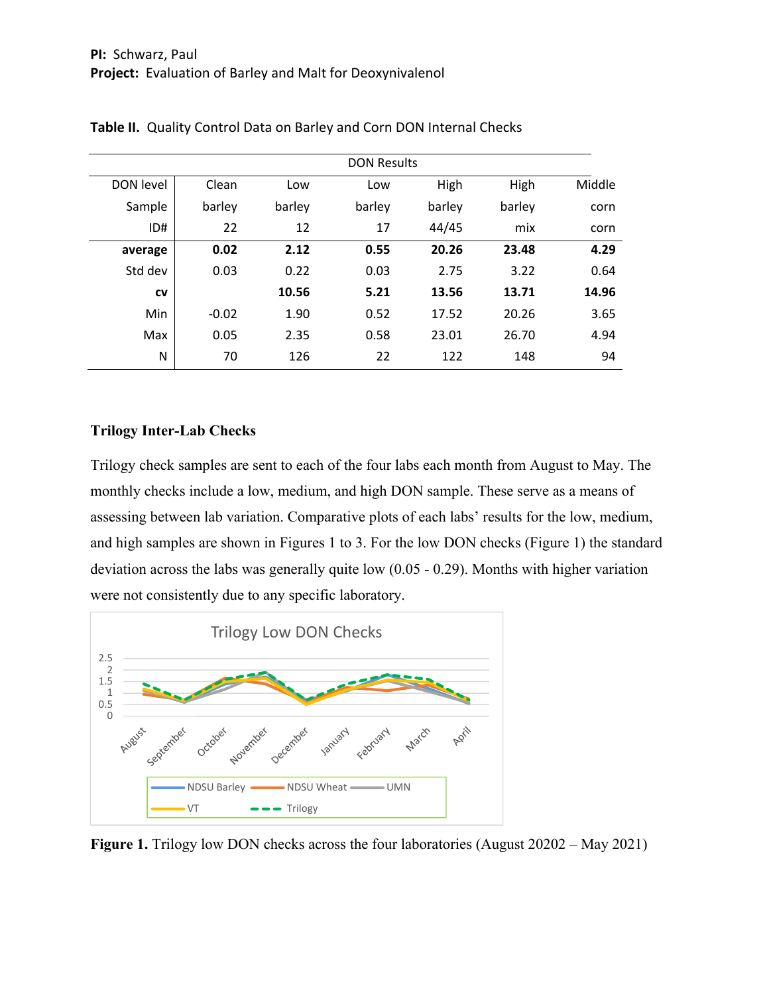| <b>DON Results</b> |         |        |        |        |        |        |
|--------------------|---------|--------|--------|--------|--------|--------|
| DON level          | Clean   | Low    | Low    | High   | High   | Middle |
| Sample             | barley  | barley | barley | barley | barley | corn   |
| ID#                | 22      | 12     | 17     | 44/45  | mix    | corn   |
| average            | 0.02    | 2.12   | 0.55   | 20.26  | 23.48  | 4.29   |
| Std dev            | 0.03    | 0.22   | 0.03   | 2.75   | 3.22   | 0.64   |
| CV                 |         | 10.56  | 5.21   | 13.56  | 13.71  | 14.96  |
| Min                | $-0.02$ | 1.90   | 0.52   | 17.52  | 20.26  | 3.65   |
| Max                | 0.05    | 2.35   | 0.58   | 23.01  | 26.70  | 4.94   |
| N                  | 70      | 126    | 22     | 122    | 148    | 94     |

#### **Trilogy Inter-Lab Checks**

Trilogy check samples are sent to each of the four labs each month from August to May. The monthly checks include a low, medium, and high DON sample. These serve as a means of assessing between lab variation. Comparative plots of each labs' results for the low, medium, and high samples are shown in Figures 1 to 3. For the low DON checks (Figure 1) the standard deviation across the labs was generally quite low (0.05 - 0.29). Months with higher variation were not consistently due to any specific laboratory.



**Figure 1.** Trilogy low DON checks across the four laboratories (August 20202 – May 2021)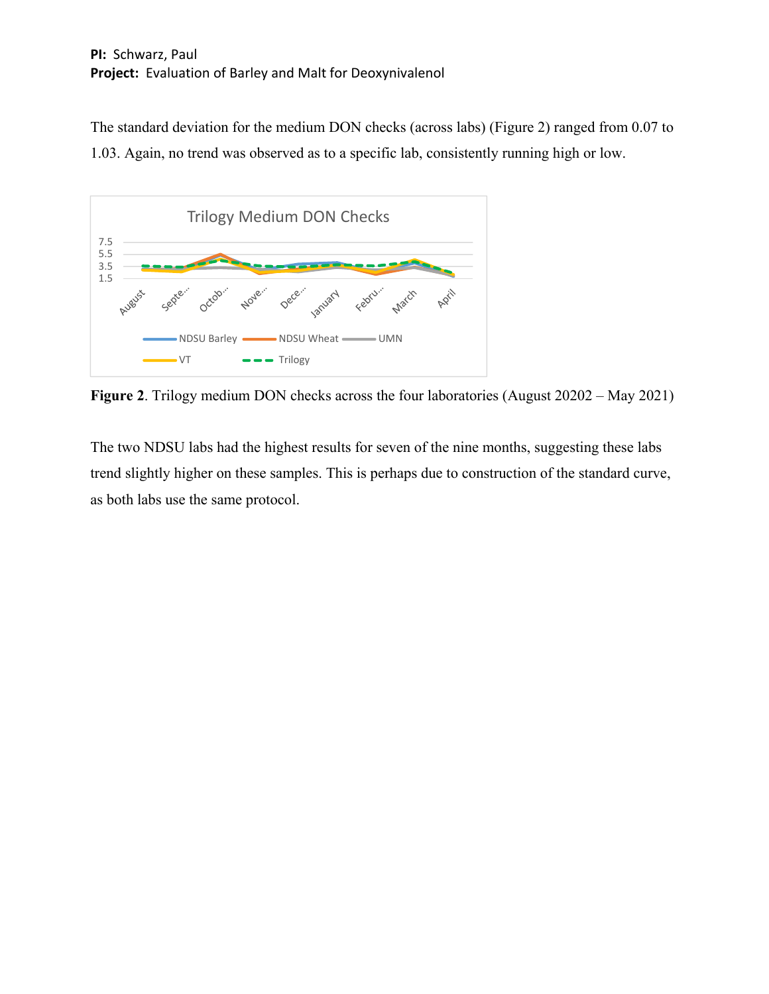The standard deviation for the medium DON checks (across labs) (Figure 2) ranged from 0.07 to 1.03. Again, no trend was observed as to a specific lab, consistently running high or low.



**Figure 2**. Trilogy medium DON checks across the four laboratories (August 20202 – May 2021)

The two NDSU labs had the highest results for seven of the nine months, suggesting these labs trend slightly higher on these samples. This is perhaps due to construction of the standard curve, as both labs use the same protocol.